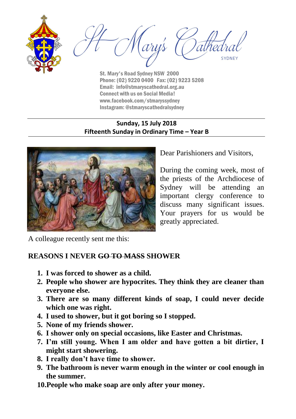



St. Mary's Road Sydney NSW 2000 Phone: (02) 9220 0400 Fax: (02) 9223 5208 Email: info@stmaryscathedral.org.au Connect with us on Social Media! www.facebook.com/stmaryssydney Instagram: @stmaryscathedralsydney

### **Sunday, 15 July 2018 Fifteenth Sunday in Ordinary Time – Year B**



Dear Parishioners and Visitors,

During the coming week, most of the priests of the Archdiocese of Sydney will be attending an important clergy conference to discuss many significant issues. Your prayers for us would be greatly appreciated.

A colleague recently sent me this:

# **REASONS I NEVER GO TO MASS SHOWER**

- **1. I was forced to shower as a child.**
- **2. People who shower are hypocrites. They think they are cleaner than everyone else.**
- **3. There are so many different kinds of soap, I could never decide which one was right.**
- **4. I used to shower, but it got boring so I stopped.**
- **5. None of my friends shower.**
- **6. I shower only on special occasions, like Easter and Christmas.**
- **7. I'm still young. When I am older and have gotten a bit dirtier, I might start showering.**
- **8. I really don't have time to shower.**
- **9. The bathroom is never warm enough in the winter or cool enough in the summer.**
- **10.People who make soap are only after your money.**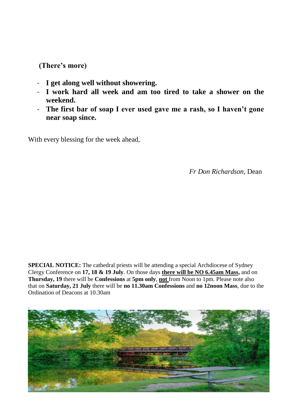### **(There's more)**

- **I get along well without showering.**
- **I work hard all week and am too tired to take a shower on the weekend.**
- **The first bar of soap I ever used gave me a rash, so I haven't gone near soap since.**

With every blessing for the week ahead,

*Fr Don Richardson,* Dean

**SPECIAL NOTICE:** The cathedral priests will be attending a special Archdiocese of Sydney Clergy Conference on **17, 18 & 19 July**. On those days **there will be NO 6.45am Mass,** and on **Thursday, 19** there will be **Confessions** at **5pm only**, **not** from Noon to 1pm. Please note also that on **Saturday, 21 July** there will be **no 11.30am Confessions** and **no 12noon Mass**, due to the Ordination of Deacons at 10.30am

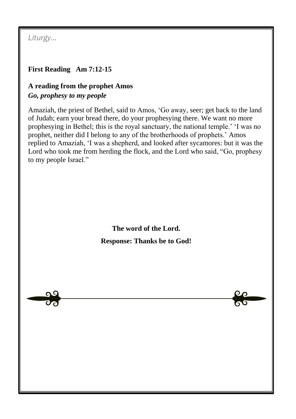*Liturgy…*

# **First Reading Am 7:12-15**

# **A reading from the prophet Amos** *Go, prophesy to my people*

Amaziah, the priest of Bethel, said to Amos, 'Go away, seer; get back to the land of Judah; earn your bread there, do your prophesying there. We want no more prophesying in Bethel; this is the royal sanctuary, the national temple.' 'I was no prophet, neither did I belong to any of the brotherhoods of prophets.' Amos replied to Amaziah, 'I was a shepherd, and looked after sycamores: but it was the Lord who took me from herding the flock, and the Lord who said, "Go, prophesy to my people Israel."

> **The word of the Lord. Response: Thanks be to God!**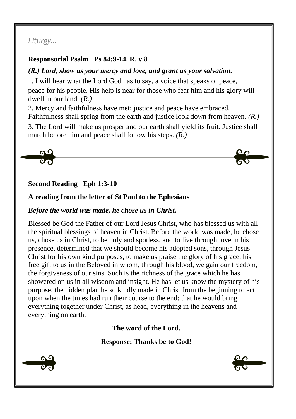# *Liturgy…*

### **Responsorial Psalm Ps 84:9-14. R. v.8**

### *(R.) Lord, show us your mercy and love, and grant us your salvation.*

1. I will hear what the Lord God has to say, a voice that speaks of peace,

peace for his people. His help is near for those who fear him and his glory will dwell in our land. *(R.)*

2. Mercy and faithfulness have met; justice and peace have embraced. Faithfulness shall spring from the earth and justice look down from heaven. *(R.)*

3. The Lord will make us prosper and our earth shall yield its fruit. Justice shall march before him and peace shall follow his steps. *(R.)*



# **Second Reading Eph 1:3-10**

# **A reading from the letter of St Paul to the Ephesians**

### *Before the world was made, he chose us in Christ.*

Blessed be God the Father of our Lord Jesus Christ, who has blessed us with all the spiritual blessings of heaven in Christ. Before the world was made, he chose us, chose us in Christ, to be holy and spotless, and to live through love in his presence, determined that we should become his adopted sons, through Jesus Christ for his own kind purposes, to make us praise the glory of his grace, his free gift to us in the Beloved in whom, through his blood, we gain our freedom, the forgiveness of our sins. Such is the richness of the grace which he has showered on us in all wisdom and insight. He has let us know the mystery of his purpose, the hidden plan he so kindly made in Christ from the beginning to act upon when the times had run their course to the end: that he would bring everything together under Christ, as head, everything in the heavens and everything on earth.

# **The word of the Lord.**

**Response: Thanks be to God!**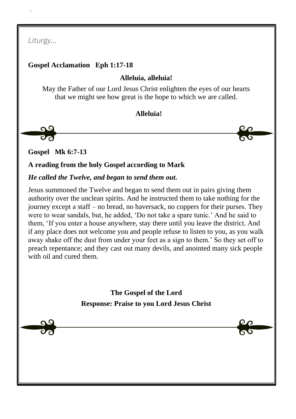*Liturgy…*

 **/.**

# **Gospel Acclamation Eph 1:17-18**

### **Alleluia, alleluia!**

May the Father of our Lord Jesus Christ enlighten the eyes of our hearts that we might see how great is the hope to which we are called.

### **Alleluia!**

<u>ng</u>

**Gospel Mk 6:7-13**

**A reading from the holy Gospel according to Mark**

#### *He called the Twelve, and began to send them out.*

Jesus summoned the Twelve and began to send them out in pairs giving them authority over the unclean spirits. And he instructed them to take nothing for the journey except a staff – no bread, no haversack, no coppers for their purses. They were to wear sandals, but, he added, 'Do not take a spare tunic.' And he said to them, 'If you enter a house anywhere, stay there until you leave the district. And if any place does not welcome you and people refuse to listen to you, as you walk away shake off the dust from under your feet as a sign to them.' So they set off to preach repentance; and they cast out many devils, and anointed many sick people with oil and cured them.

> **The Gospel of the Lord Response: Praise to you Lord Jesus Christ**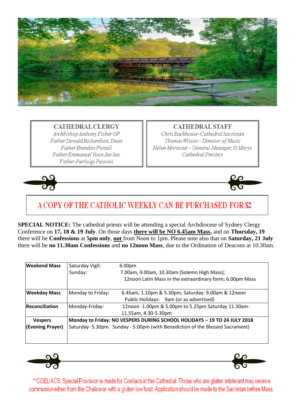

**CATHEDRAL CLERGY** Archbishop Anthony Fisher OP Father Donald Richardson, Dean Father Brendan Purcell Father Emmanuel Yoon Jae Seo Father Pierluigi Passoni

**CATHEDRAL STAFF** 

Chris Backhouse-Cathedral Sacristan Thomas Wilson-Director of Music Helen Morassut - General Manager, St Marys Cathedral Precinct





# A COPY OF THE CATHOLIC WEEKLY CAN BE PURCHASED FOR \$2

**SPECIAL NOTICE:** The cathedral priests will be attending a special Archdiocese of Sydney Clergy Conference on **17, 18 & 19 July**. On those days **there will be NO 6.45am Mass,** and on **Thursday, 19** there will be **Confessions** at **5pm only**, **not** from Noon to 1pm. Please note also that on **Saturday, 21 July** there will be **no 11.30am Confessions** and **no 12noon Mass**, due to the Ordination of Deacons at 10.30am.

| <b>Weekend Mass</b> | Saturday Vigil:                                                              | 6.00pm                                                   |
|---------------------|------------------------------------------------------------------------------|----------------------------------------------------------|
|                     | Sunday:                                                                      | 7.00am, 9.00am, 10.30am (Solemn High Mass);              |
|                     |                                                                              | 12noon Latin Mass in the extraordinary form; 6.00pm Mass |
| <b>Weekday Mass</b> | Monday to Friday:                                                            | 6.45am, 1.10pm & 5.30pm; Saturday: 9.00am & 12noon       |
|                     |                                                                              | Public Holidays: 9am (or as advertised)                  |
| Reconciliation      | Monday-Friday:                                                               | 12noon -1.00pm & 5.00pm to 5.25pm Saturday 11.30am-      |
|                     |                                                                              | 11.55am, 4.30-5.30pm                                     |
| <b>Vespers</b>      | Monday to Friday: NO VESPERS DURING SCHOOL HOLIDAYS - 19 TO 24 JULY 2018     |                                                          |
| (Evening Prayer)    | Saturday-5.30pm. Sunday - 5.00pm (with Benediction of the Blessed Sacrament) |                                                          |
|                     |                                                                              |                                                          |
|                     |                                                                              |                                                          |



\*\*COELIACS: Special Provision is made for Coeliacs at the Cathedral. Those who are gluten intolerant may receive communion either from the Chalice or with a gluten low host. Application should be made to the Sacristan before Mass.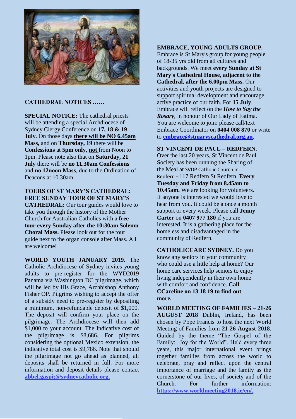

#### **CATHEDRAL NOTICES ……**

**SPECIAL NOTICE:** The cathedral priests will be attending a special Archdiocese of Sydney Clergy Conference on **17, 18 & 19 July**. On those days **there will be NO 6.45am Mass,** and on **Thursday, 19** there will be **Confessions** at **5pm only**, **not** from Noon to 1pm. Please note also that on **Saturday, 21 July** there will be **no 11.30am Confessions** and **no 12noon Mass**, due to the Ordination of Deacons at 10.30am.

#### **TOURS OF ST MARY'S CATHEDRAL: FREE SUNDAY TOUR OF ST MARY'S**

**CATHEDRAL:** Our tour guides would love to take you through the history of the Mother Church for Australian Catholics with a **free tour every Sunday after the 10:30am Solemn Choral Mass.** Please look out for the tour guide next to the organ console after Mass. All are welcome!

**WORLD YOUTH JANUARY 2019.** The Catholic Archdiocese of Sydney invites young adults to pre-register for the WYD2019 Panama via Washington DC pilgrimage, which will be led by His Grace, Archbishop Anthony Fisher OP. Pilgrims wishing to accept the offer of a subsidy need to pre-register by depositing a minimum, non-refundable deposit of \$1,000. The deposit will confirm your place on the pilgrimage. The Archdiocese will then add \$1,000 to your account. The Indicative cost of the pilgrimage is \$8,686. For pilgrims considering the optional Mexico extension, the indicative total cost is \$9,786. Note that should the pilgrimage not go ahead as planned, all deposits shall be returned in full. For more information and deposit details please contact **abbel.gaspi;@sydneycatholic.org.**

#### **EMBRACE, YOUNG ADULTS GROUP.**

Embrace is St Mary's group for young people of 18-35 yrs old from all cultures and backgrounds. We meet **every Sunday at St Mary's Cathedral House, adjacent to the Cathedral, after the 6.00pm Mass.** Our activities and youth projects are designed to support spiritual development and encourage active practice of our faith. For **15 July**, Embrace will reflect on the *How to Say the Rosary*, in honour of Our Lady of Fatima*.* You are welcome to join: please call/text Embrace Coordinator on **0404 008 870** or write to **[embrace@stmaryscathedral.org.au](mailto:embrace@stmaryscathedral.org.au)**.

**ST VINCENT DE PAUL – REDFERN.**  Over the last 20 years, St Vincent de Paul Society has been running the Sharing of the Meal at SVDP Catholic Church in Redfern - 117 Redfern St Redfern. **Every Tuesday and Friday from 8.45am to 10.45am.** We are looking for volunteers. If anyone is interested we would love to hear from you. It could be a once a month support or every week. Please call **Jenny Carter** on **0407 977 180** if you are interested. It is a gathering place for the homeless and disadvantaged in the community of Redfern.

**CATHOLICCARE SYDNEY.** Do you know any seniors in your community who could use a little help at home? Our home care services help seniors to enjoy living independently in their own home with comfort and confidence. **Call CCareline on 13 18 19 to find out more.**

**WORLD MEETING OF FAMILIES – 21-26 AUGUST 2018** Dublin, Ireland, has been chosen by Pope Francis to host the next World Meeting of Families from **21-26 August 2018**. Guided by the theme "The Gospel of the Family: Joy for the World". Held every three years, this major international event brings together families from across the world to celebrate, pray and reflect upon the central importance of marriage and the family as the cornerstone of our lives, of society and of the Church. For further information: **[https://www.worldmeeting2018.ie/en/.](https://www.worldmeeting2018.ie/en/)**